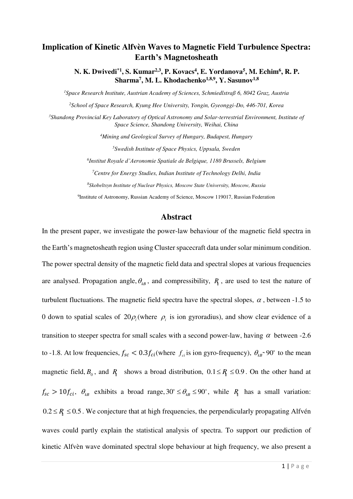# **Implication of Kinetic Alfvèn Waves to Magnetic Field Turbulence Spectra: Earth's Magnetosheath**

**N. K. Dwivedi\*1, S. Kumar2,3, P. Kovacs<sup>4</sup> , E. Yordanova<sup>5</sup> , M. Echim<sup>6</sup> , R. P. Sharma<sup>7</sup> , M. L. Khodachenko1,8,9, Y. Sasunov1,8**

*Space Research Institute, Austrian Academy of Sciences, Schmiedlstraß 6, 8042 Graz, Austria School of Space Research, Kyung Hee University, Yongin, Gyeonggi-Do, 446-701, Korea Shandong Provincial Key Laboratory of Optical Astronomy and Solar-terrestrial Environment, Institute of Space Science, Shandong University, Weihai, China Mining and Geological Survey of Hungary, Budapest, Hungary Swedish Institute of Space Physics, Uppsala, Sweden Institut Royale d'Aeronomie Spatiale de Belgique, 1180 Brussels, Belgium Centre for Energy Studies, Indian Institute of Technology Delhi, India* 

*8 Skobeltsyn Institute of Nuclear Physics, Moscow State University, Moscow, Russia* 

<sup>9</sup>Institute of Astronomy, Russian Academy of Science, Moscow 119017, Russian Federation

### **Abstract**

In the present paper, we investigate the power-law behaviour of the magnetic field spectra in the Earth's magnetosheath region using Cluster spacecraft data under solar minimum condition. The power spectral density of the magnetic field data and spectral slopes at various frequencies are analysed. Propagation angle,  $\theta_{kB}$ , and compressibility,  $R_{\parallel}$ , are used to test the nature of turbulent fluctuations. The magnetic field spectra have the spectral slopes,  $\alpha$ , between -1.5 to 0 down to spatial scales of  $20\rho_i$  (where  $\rho_i$  is ion gyroradius), and show clear evidence of a transition to steeper spectra for small scales with a second power-law, having  $\alpha$  between -2.6 to -1.8. At low frequencies,  $f_{sc} < 0.3 f_{ci}$  (where  $f_{ci}$  is ion gyro-frequency),  $\theta_{iR} > 90^\circ$  to the mean magnetic field,  $B_0$ , and  $R_{\parallel}$  shows a broad distribution,  $0.1 \le R_{\parallel} \le 0.9$ . On the other hand at  $f_{sc} > 10f_{ci}$ ,  $\theta_{kB}$  exhibits a broad range,  $30^\circ \leq \theta_{kB} \leq 90^\circ$ , while  $R_\parallel$  has a small variation:  $0.2 \le R \le 0.5$ . We conjecture that at high frequencies, the perpendicularly propagating Alfvén waves could partly explain the statistical analysis of spectra. To support our prediction of kinetic Alfvèn wave dominated spectral slope behaviour at high frequency, we also present a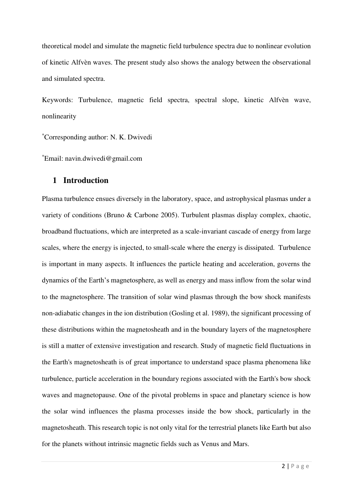theoretical model and simulate the magnetic field turbulence spectra due to nonlinear evolution of kinetic Alfvèn waves. The present study also shows the analogy between the observational and simulated spectra.

Keywords: Turbulence, magnetic field spectra, spectral slope, kinetic Alfvèn wave, nonlinearity

\*Corresponding author: N. K. Dwivedi

\*Email: navin.dwivedi@gmail.com

# **1 Introduction**

Plasma turbulence ensues diversely in the laboratory, space, and astrophysical plasmas under a variety of conditions (Bruno & Carbone 2005). Turbulent plasmas display complex, chaotic, broadband fluctuations, which are interpreted as a scale-invariant cascade of energy from large scales, where the energy is injected, to small-scale where the energy is dissipated. Turbulence is important in many aspects. It influences the particle heating and acceleration, governs the dynamics of the Earth's magnetosphere, as well as energy and mass inflow from the solar wind to the magnetosphere. The transition of solar wind plasmas through the bow shock manifests non-adiabatic changes in the ion distribution (Gosling et al. 1989), the significant processing of these distributions within the magnetosheath and in the boundary layers of the magnetosphere is still a matter of extensive investigation and research. Study of magnetic field fluctuations in the Earth's magnetosheath is of great importance to understand space plasma phenomena like turbulence, particle acceleration in the boundary regions associated with the Earth's bow shock waves and magnetopause. One of the pivotal problems in space and planetary science is how the solar wind influences the plasma processes inside the bow shock, particularly in the magnetosheath. This research topic is not only vital for the terrestrial planets like Earth but also for the planets without intrinsic magnetic fields such as Venus and Mars.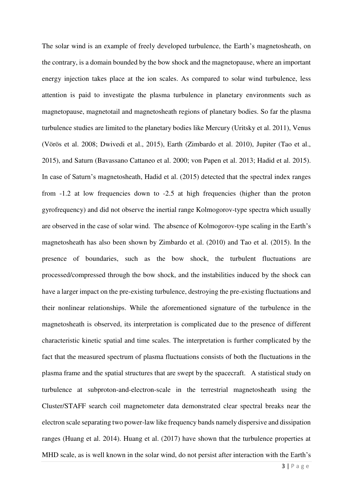The solar wind is an example of freely developed turbulence, the Earth's magnetosheath, on the contrary, is a domain bounded by the bow shock and the magnetopause, where an important energy injection takes place at the ion scales. As compared to solar wind turbulence, less attention is paid to investigate the plasma turbulence in planetary environments such as magnetopause, magnetotail and magnetosheath regions of planetary bodies. So far the plasma turbulence studies are limited to the planetary bodies like Mercury (Uritsky et al. 2011), Venus (Vörös et al. 2008; Dwivedi et al., 2015), Earth (Zimbardo et al. 2010), Jupiter (Tao et al., 2015), and Saturn (Bavassano Cattaneo et al. 2000; von Papen et al. 2013; Hadid et al. 2015). In case of Saturn's magnetosheath, Hadid et al. (2015) detected that the spectral index ranges from -1.2 at low frequencies down to -2.5 at high frequencies (higher than the proton gyrofrequency) and did not observe the inertial range Kolmogorov-type spectra which usually are observed in the case of solar wind. The absence of Kolmogorov-type scaling in the Earth's magnetosheath has also been shown by Zimbardo et al. (2010) and Tao et al. (2015). In the presence of boundaries, such as the bow shock, the turbulent fluctuations are processed/compressed through the bow shock, and the instabilities induced by the shock can have a larger impact on the pre-existing turbulence, destroying the pre-existing fluctuations and their nonlinear relationships. While the aforementioned signature of the turbulence in the magnetosheath is observed, its interpretation is complicated due to the presence of different characteristic kinetic spatial and time scales. The interpretation is further complicated by the fact that the measured spectrum of plasma fluctuations consists of both the fluctuations in the plasma frame and the spatial structures that are swept by the spacecraft. A statistical study on turbulence at subproton-and-electron-scale in the terrestrial magnetosheath using the Cluster/STAFF search coil magnetometer data demonstrated clear spectral breaks near the electron scale separating two power-law like frequency bands namely dispersive and dissipation ranges (Huang et al. 2014). Huang et al. (2017) have shown that the turbulence properties at MHD scale, as is well known in the solar wind, do not persist after interaction with the Earth's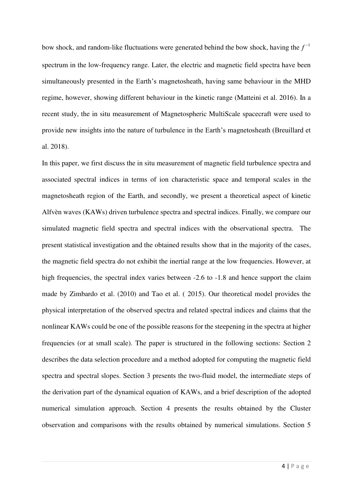bow shock, and random-like fluctuations were generated behind the bow shock, having the  $f^{-1}$ spectrum in the low-frequency range. Later, the electric and magnetic field spectra have been simultaneously presented in the Earth's magnetosheath, having same behaviour in the MHD regime, however, showing different behaviour in the kinetic range (Matteini et al. 2016). In a recent study, the in situ measurement of Magnetospheric MultiScale spacecraft were used to provide new insights into the nature of turbulence in the Earth's magnetosheath (Breuillard et al. 2018).

In this paper, we first discuss the in situ measurement of magnetic field turbulence spectra and associated spectral indices in terms of ion characteristic space and temporal scales in the magnetosheath region of the Earth, and secondly, we present a theoretical aspect of kinetic Alfvèn waves (KAWs) driven turbulence spectra and spectral indices. Finally, we compare our simulated magnetic field spectra and spectral indices with the observational spectra. The present statistical investigation and the obtained results show that in the majority of the cases, the magnetic field spectra do not exhibit the inertial range at the low frequencies. However, at high frequencies, the spectral index varies between -2.6 to -1.8 and hence support the claim made by Zimbardo et al. (2010) and Tao et al. ( 2015). Our theoretical model provides the physical interpretation of the observed spectra and related spectral indices and claims that the nonlinear KAWs could be one of the possible reasons for the steepening in the spectra at higher frequencies (or at small scale). The paper is structured in the following sections: Section 2 describes the data selection procedure and a method adopted for computing the magnetic field spectra and spectral slopes. Section 3 presents the two-fluid model, the intermediate steps of the derivation part of the dynamical equation of KAWs, and a brief description of the adopted numerical simulation approach. Section 4 presents the results obtained by the Cluster observation and comparisons with the results obtained by numerical simulations. Section 5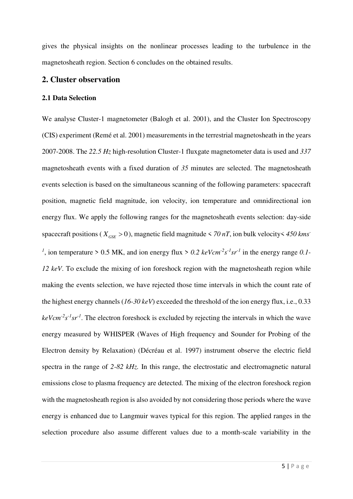gives the physical insights on the nonlinear processes leading to the turbulence in the magnetosheath region. Section 6 concludes on the obtained results.

# **2. Cluster observation**

#### **2.1 Data Selection**

We analyse Cluster-1 magnetometer (Balogh et al. 2001), and the Cluster Ion Spectroscopy (CIS) experiment (Remé et al. 2001) measurements in the terrestrial magnetosheath in the years 2007-2008. The *22.5 Hz* high-resolution Cluster-1 fluxgate magnetometer data is used and *337* magnetosheath events with a fixed duration of *35* minutes are selected. The magnetosheath events selection is based on the simultaneous scanning of the following parameters: spacecraft position, magnetic field magnitude, ion velocity, ion temperature and omnidirectional ion energy flux. We apply the following ranges for the magnetosheath events selection: day-side spacecraft positions ( $X_{GSE} > 0$ ), magnetic field magnitude < 70 nT, ion bulk velocity < 450 kms<sup>-</sup> <sup>1</sup>, ion temperature > 0.5 MK, and ion energy flux > 0.2  $keVcm<sup>-2</sup>s<sup>-1</sup>sr<sup>-1</sup>$  in the energy range 0.1-*12 keV*. To exclude the mixing of ion foreshock region with the magnetosheath region while making the events selection, we have rejected those time intervals in which the count rate of the highest energy channels (*16-30 keV*) exceeded the threshold of the ion energy flux, i.e., 0.33  $keVcm<sup>-2</sup>s<sup>-1</sup>sr<sup>-1</sup>$ . The electron foreshock is excluded by rejecting the intervals in which the wave energy measured by WHISPER (Waves of High frequency and Sounder for Probing of the Electron density by Relaxation) (Décréau et al. 1997) instrument observe the electric field spectra in the range of *2-82 kHz.* In this range, the electrostatic and electromagnetic natural emissions close to plasma frequency are detected. The mixing of the electron foreshock region with the magnetosheath region is also avoided by not considering those periods where the wave energy is enhanced due to Langmuir waves typical for this region. The applied ranges in the selection procedure also assume different values due to a month-scale variability in the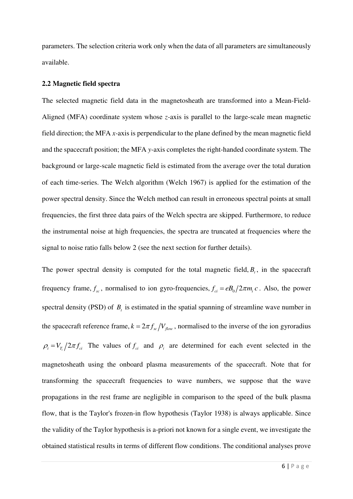parameters. The selection criteria work only when the data of all parameters are simultaneously available.

#### **2.2 Magnetic field spectra**

The selected magnetic field data in the magnetosheath are transformed into a Mean-Field-Aligned (MFA) coordinate system whose *z-*axis is parallel to the large-scale mean magnetic field direction; the MFA *x-*axis is perpendicular to the plane defined by the mean magnetic field and the spacecraft position; the MFA *y-*axis completes the right-handed coordinate system. The background or large-scale magnetic field is estimated from the average over the total duration of each time-series. The Welch algorithm (Welch 1967) is applied for the estimation of the power spectral density. Since the Welch method can result in erroneous spectral points at small frequencies, the first three data pairs of the Welch spectra are skipped. Furthermore, to reduce the instrumental noise at high frequencies, the spectra are truncated at frequencies where the signal to noise ratio falls below 2 (see the next section for further details).

The power spectral density is computed for the total magnetic field,  $B<sub>t</sub>$ , in the spacecraft frequency frame,  $f_{sc}$ , normalised to ion gyro-frequencies,  $f_{ci} = eB_0/2\pi m_i c$ . Also, the power spectral density (PSD) of  $B_t$  is estimated in the spatial spanning of streamline wave number in the spacecraft reference frame,  $k = 2\pi f_{\rm sc}/V_{\rm flow}$ , normalised to the inverse of the ion gyroradius  $\rho_i = V_{T_i}/2\pi f_{ci}$  The values of  $f_{ci}$  and  $\rho_i$  are determined for each event selected in the magnetosheath using the onboard plasma measurements of the spacecraft. Note that for transforming the spacecraft frequencies to wave numbers, we suppose that the wave propagations in the rest frame are negligible in comparison to the speed of the bulk plasma flow, that is the Taylor's frozen-in flow hypothesis (Taylor 1938) is always applicable. Since the validity of the Taylor hypothesis is a-priori not known for a single event, we investigate the obtained statistical results in terms of different flow conditions. The conditional analyses prove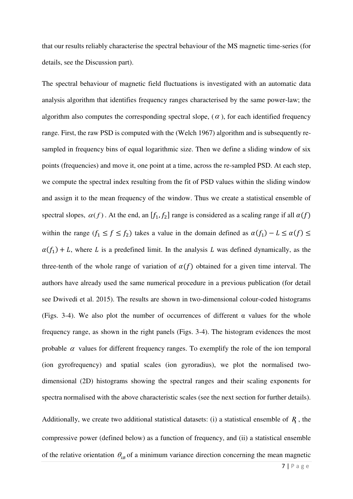that our results reliably characterise the spectral behaviour of the MS magnetic time-series (for details, see the Discussion part).

The spectral behaviour of magnetic field fluctuations is investigated with an automatic data analysis algorithm that identifies frequency ranges characterised by the same power-law; the algorithm also computes the corresponding spectral slope,  $(\alpha)$ , for each identified frequency range. First, the raw PSD is computed with the (Welch 1967) algorithm and is subsequently resampled in frequency bins of equal logarithmic size. Then we define a sliding window of six points (frequencies) and move it, one point at a time, across the re-sampled PSD. At each step, we compute the spectral index resulting from the fit of PSD values within the sliding window and assign it to the mean frequency of the window. Thus we create a statistical ensemble of spectral slopes,  $\alpha(f)$ . At the end, an  $[f_1, f_2]$  range is considered as a scaling range if all  $\alpha(f)$ within the range  $(f_1 \le f \le f_2)$  takes a value in the domain defined as  $\alpha(f_1) - L \le \alpha(f) \le$  $\alpha(f_1) + L$ , where L is a predefined limit. In the analysis L was defined dynamically, as the three-tenth of the whole range of variation of  $\alpha(f)$  obtained for a given time interval. The authors have already used the same numerical procedure in a previous publication (for detail see Dwivedi et al. 2015). The results are shown in two-dimensional colour-coded histograms (Figs. 3-4). We also plot the number of occurrences of different  $\alpha$  values for the whole frequency range, as shown in the right panels (Figs. 3-4). The histogram evidences the most probable  $\alpha$  values for different frequency ranges. To exemplify the role of the ion temporal (ion gyrofrequency) and spatial scales (ion gyroradius), we plot the normalised twodimensional (2D) histograms showing the spectral ranges and their scaling exponents for spectra normalised with the above characteristic scales (see the next section for further details).

Additionally, we create two additional statistical datasets: (i) a statistical ensemble of  $R_{\parallel}$ , the compressive power (defined below) as a function of frequency, and (ii) a statistical ensemble of the relative orientation  $\theta_{kB}$  of a minimum variance direction concerning the mean magnetic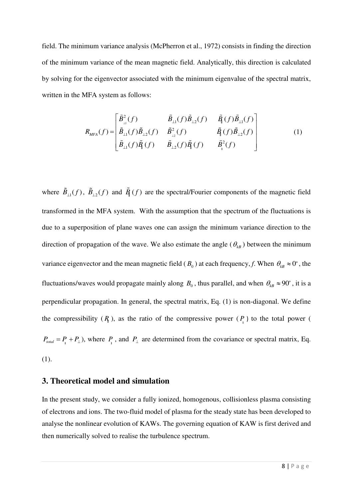field. The minimum variance analysis (McPherron et al., 1972) consists in finding the direction of the minimum variance of the mean magnetic field. Analytically, this direction is calculated by solving for the eigenvector associated with the minimum eigenvalue of the spectral matrix, written in the MFA system as follows:

$$
R_{MFA}(f) = \begin{bmatrix} \tilde{B}_{\perp}^{2}(f) & \tilde{B}_{\perp 1}(f) \tilde{B}_{\perp 2}(f) & \tilde{B}_{1}(f) \tilde{B}_{\perp 1}(f) \\ \tilde{B}_{\perp 1}(f) \tilde{B}_{\perp 2}(f) & \tilde{B}_{\perp 2}^{2}(f) & \tilde{B}_{1}(f) \tilde{B}_{\perp 2}(f) \\ \tilde{B}_{\perp 1}(f) \tilde{B}_{1}(f) & \tilde{B}_{\perp 2}(f) \tilde{B}_{1}(f) & \tilde{B}_{1}^{2}(f) \end{bmatrix}
$$
(1)

where  $B_{\perp 1}(f)$ ,  $B_{\perp 2}(f)$  and  $B_{\parallel}(f)$  are the spectral/Fourier components of the magnetic field transformed in the MFA system. With the assumption that the spectrum of the fluctuations is due to a superposition of plane waves one can assign the minimum variance direction to the direction of propagation of the wave. We also estimate the angle  $(\theta_{kB})$  between the minimum variance eigenvector and the mean magnetic field ( $B_0$ ) at each frequency, *f*. When  $\theta_{kB} \approx 0^\circ$ , the fluctuations/waves would propagate mainly along  $B_0$ , thus parallel, and when  $\theta_{kB} \approx 90^\circ$ , it is a perpendicular propagation. In general, the spectral matrix, Eq. (1) is non-diagonal. We define the compressibility  $(R)$ , as the ratio of the compressive power  $(P_1)$  to the total power (  $P_{total} = P_{\parallel} + P_{\perp}$ ), where  $P_{\parallel}$ , and  $P_{\perp}$  are determined from the covariance or spectral matrix, Eq. (1).

## **3. Theoretical model and simulation**

In the present study, we consider a fully ionized, homogenous, collisionless plasma consisting of electrons and ions. The two-fluid model of plasma for the steady state has been developed to analyse the nonlinear evolution of KAWs. The governing equation of KAW is first derived and then numerically solved to realise the turbulence spectrum.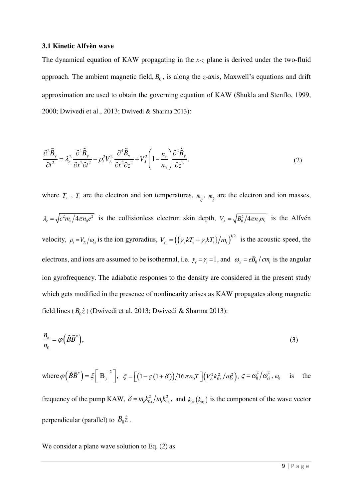#### **3.1 Kinetic Alfvèn wave**

The dynamical equation of KAW propagating in the *x-z* plane is derived under the two-fluid approach. The ambient magnetic field,  $B_0$ , is along the *z*-axis, Maxwell's equations and drift approximation are used to obtain the governing equation of KAW (Shukla and Stenflo, 1999, 2000; Dwivedi et al., 2013; Dwivedi & Sharma 2013):

$$
\frac{\partial^2 \tilde{B}_y}{\partial t^2} = \lambda_e^2 \frac{\partial^4 \tilde{B}_y}{\partial x^2 \partial t^2} - \rho_i^2 V_A^2 \frac{\partial^4 \tilde{B}_y}{\partial x^2 \partial z^2} + V_A^2 \left( 1 - \frac{n_e}{n_0} \right) \frac{\partial^2 \tilde{B}_y}{\partial z^2}.
$$
\n(2)

where  $T_e$ ,  $T_i$  are the electron and ion temperatures,  $m_e$ ,  $m_i$  are the electron and ion masses,  $\lambda_e = \sqrt{c^2 m_e/4\pi n_0 e^2}$  is the collisionless electron skin depth,  $V_A = \sqrt{B_0^2/4\pi n_0 m_i}$  is the Alfvén velocity,  $\rho_i = V_{T_i}/\omega_c$  is the ion gyroradius,  $V_{T_i} = (\{\gamma_e kT_e + \gamma_i kT_i\}/m_i)^{1/2}$  is the acoustic speed, the electrons, and ions are assumed to be isothermal, i.e.  $\gamma_e = \gamma_i = 1$ , and  $\omega_{ci} = eB_0 / cm_i$  is the angular ion gyrofrequency. The adiabatic responses to the density are considered in the present study which gets modified in the presence of nonlinearity arises as KAW propagates along magnetic field lines ( $B_0 \hat{z}$ ) (Dwivedi et al. 2013; Dwivedi & Sharma 2013):

$$
\frac{n_e}{n_0} = \varphi\left(\tilde{B}\tilde{B}^*\right),\tag{3}
$$

where  $\varphi(\tilde{B}\tilde{B}^*) = \xi \left[ \left| \mathbf{B}_y \right|^2 \right], \xi = \left[ \left( 1 - \xi \left( 1 + \delta \right) \right) / 16 \pi n_0 T \right] \left( V_A^2 k_{0z}^2 / \omega_0^2 \right), \xi = \omega_0^2 / \omega_{ci}^2$  $\zeta = \omega_0^2/\omega_{ci}^2$ ,  $\omega_0$  is the frequency of the pump KAW,  $\delta = m_e k_{0x}^2/m_i k_{0z}^2$ , and  $k_{0x} (k_{0z})$  is the component of the wave vector perpendicular (parallel) to  $B_0 \hat{z}$ .

We consider a plane wave solution to Eq. (2) as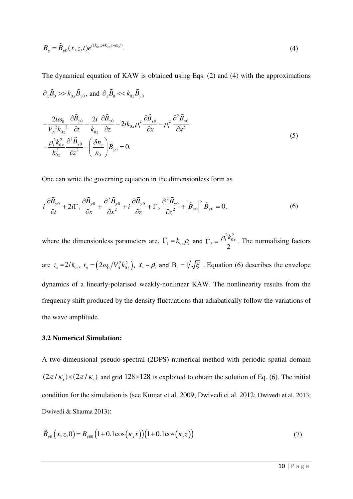$$
B_{y} = \widetilde{B}_{y0}(x, z, t)e^{i(k_{0x}x + k_{0z}z - \omega_{0}t)}.
$$
\n<sup>(4)</sup>

The dynamical equation of KAW is obtained using Eqs. (2) and (4) with the approximations

$$
\partial_x \tilde{B}_0 \gg k_{0x} \tilde{B}_{y0}, \text{ and } \partial_z \tilde{B}_0 \ll k_{0z} \tilde{B}_{y0}
$$
\n
$$
-\frac{2i\omega_0}{V_A^2 k_{0z}^2} \frac{\partial \tilde{B}_{y0}}{\partial t} - \frac{2i}{k_{0z}} \frac{\partial \tilde{B}_{y0}}{\partial z} - 2ik_{0x} \rho_i^2 \frac{\partial \tilde{B}_{y0}}{\partial x} - \rho_i^2 \frac{\partial^2 \tilde{B}_{y0}}{\partial x^2}
$$
\n
$$
-\frac{\rho_i^2 k_{0x}^2}{k_{0z}^2} \frac{\partial^2 \tilde{B}_{y0}}{\partial z^2} - \left(\frac{\delta n_s}{n_0}\right) \tilde{B}_{y0} = 0.
$$
\n(5)

One can write the governing equation in the dimensionless form as

$$
i\frac{\partial \tilde{B}_{y0}}{\partial t} + 2i\Gamma_1 \frac{\partial \tilde{B}_{y0}}{\partial x} + \frac{\partial^2 \tilde{B}_{y0}}{\partial x^2} + i\frac{\partial \tilde{B}_{y0}}{\partial z} + \Gamma_2 \frac{\partial^2 \tilde{B}_{y0}}{\partial z^2} + \left| \tilde{B}_{y0} \right|^2 \tilde{B}_{y0} = 0.
$$
 (6)

where the dimensionless parameters are,  $\Gamma_1 = k_{0x} \rho_i$  and  $\Gamma_2 = \frac{\rho_i^2 k_0^2}{2}$  $v_2 = \frac{\mu_i \mu_0}{2}$  $\Gamma_2 = \frac{\rho_i^2 k_{0x}^2}{g}$ . The normalising factors are  $z_n = 2/k_{0z}$ ,  $t_n = (2\omega_0 / V_A^2 k_{0z}^2)$ ,  $x_n = \rho_i$  and  $B_n = 1/\sqrt{\xi}$ . Equation (6) describes the envelope dynamics of a linearly-polarised weakly-nonlinear KAW. The nonlinearity results from the frequency shift produced by the density fluctuations that adiabatically follow the variations of the wave amplitude.

#### **3.2 Numerical Simulation:**

A two-dimensional pseudo-spectral (2DPS) numerical method with periodic spatial domain  $(2\pi / \kappa_x) \times (2\pi / \kappa_z)$  and grid 128×128 is exploited to obtain the solution of Eq. (6). The initial condition for the simulation is (see Kumar et al. 2009; Dwivedi et al. 2012; Dwivedi et al. 2013; Dwivedi & Sharma 2013):

$$
\tilde{B}_{y0}(x, z, 0) = B_{y00}(1 + 0.1 \cos(\kappa_x x))(1 + 0.1 \cos(\kappa_z z))
$$
\n(7)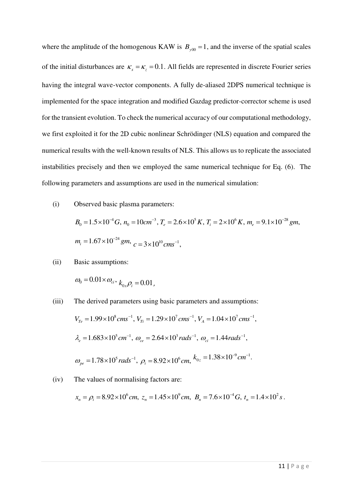where the amplitude of the homogenous KAW is  $B_{y00} = 1$ , and the inverse of the spatial scales of the initial disturbances are  $\kappa_x = \kappa_z = 0.1$ . All fields are represented in discrete Fourier series having the integral wave-vector components. A fully de-aliased 2DPS numerical technique is implemented for the space integration and modified Gazdag predictor-corrector scheme is used for the transient evolution. To check the numerical accuracy of our computational methodology, we first exploited it for the 2D cubic nonlinear Schrödinger (NLS) equation and compared the numerical results with the well-known results of NLS. This allows us to replicate the associated instabilities precisely and then we employed the same numerical technique for Eq. (6). The following parameters and assumptions are used in the numerical simulation:

(i) Observed basic plasma parameters:  
\n
$$
B_0 = 1.5 \times 10^{-4} G, n_0 = 10 cm^{-3}, T_e = 2.6 \times 10^5 K, T_i = 2 \times 10^6 K, m_e = 9.1 \times 10^{-28} gm,
$$
\n
$$
m_i = 1.67 \times 10^{-24} gm, c = 3 \times 10^{10} cm s^{-1},
$$

(ii) Basic assumptions:

$$
\omega_{0} = 0.01 \times \omega_{ci}, k_{0x} \rho_{i} = 0.01,
$$

(iii) The derived parameters using basic parameters and assumptions:  $V_{Te} = 1.99 \times 10^8 \text{ cm s}^{-1}$ ,  $V_{Ti} = 1.29 \times 10^7 \text{ cm s}^{-1}$ ,  $V_A = 1.04 \times 10^7 \text{ cm s}^{-1}$ ,  $\lambda_e = 1.683 \times 10^5 cm^{-1}$ ,  $\omega_{ce} = 2.64 \times 10^3$  rads<sup>-1</sup>,  $\omega_{ci} = 1.44$  rads<sup>-1</sup>,  $\omega_{pe} = 1.78 \times 10^5 \text{ rad} s^{-1}$ ,  $\rho_i = 8.92 \times 10^6 \text{ cm}$ ,  $k_{0z} = 1.38 \times 10^{-9} \text{ cm}^{-1}$  $k_{0z} = 1.38 \times 10^{-9} cm^{-1}$ .

(iv) The values of normalising factors are:

$$
x_n = \rho_i = 8.92 \times 10^6 \text{cm}, z_n = 1.45 \times 10^9 \text{cm}, B_n = 7.6 \times 10^{-4} \text{G}, t_n = 1.4 \times 10^2 \text{ s}.
$$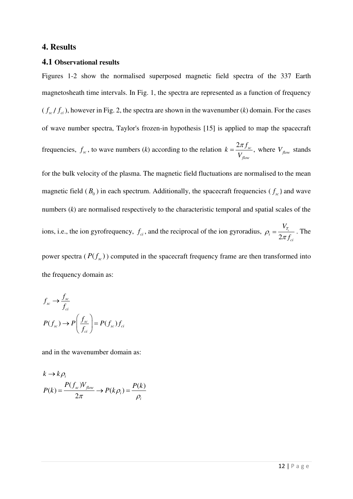## **4. Results**

#### **4.1 Observational results**

Figures 1-2 show the normalised superposed magnetic field spectra of the 337 Earth magnetosheath time intervals. In Fig. 1, the spectra are represented as a function of frequency  $(f_{\rm sc}/f_{\rm ci})$ , however in Fig. 2, the spectra are shown in the wavenumber (*k*) domain. For the cases of wave number spectra, Taylor's frozen-in hypothesis [15] is applied to map the spacecraft frequencies,  $f_{sc}$ , to wave numbers (*k*) according to the relation  $k = \frac{2\pi f_{sc}}{V}$ , *flow*  $k = \frac{2\pi f}{\sigma}$ *V*  $=\frac{2\pi J_{sc}}{V}$ , where  $V_{flow}$  stands for the bulk velocity of the plasma. The magnetic field fluctuations are normalised to the mean magnetic field  $(B_0)$  in each spectrum. Additionally, the spacecraft frequencies  $(f_{sc})$  and wave numbers (*k*) are normalised respectively to the characteristic temporal and spatial scales of the ions, i.e., the ion gyrofrequency,  $f_{ci}$ , and the reciprocal of the ion gyroradius,  $\rho_i = \frac{1}{2}$ *Ti i ci V*  $\rho_i = \frac{r_i}{2\pi f_{ci}}$ . The power spectra  $(P(f_{\scriptscriptstyle sc}))$  computed in the spacecraft frequency frame are then transformed into the frequency domain as:

$$
f_{sc} \rightarrow \frac{f_{sc}}{f_{ci}}
$$
  

$$
P(f_{sc}) \rightarrow P\left(\frac{f_{sc}}{f_{ci}}\right) = P(f_{sc})f_{ci}
$$

and in the wavenumber domain as:

$$
k \to k \rho_i
$$
  

$$
P(k) = \frac{P(f_{sc})V_{flow}}{2\pi} \to P(k \rho_i) = \frac{P(k)}{\rho_i}
$$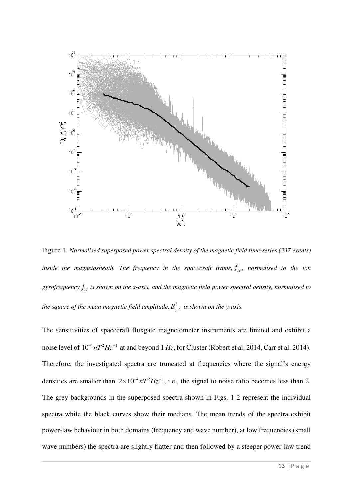

Figure 1. *Normalised superposed power spectral density of the magnetic field time-series (337 events)*  inside the magnetosheath. The frequency in the spacecraft frame,  $f_{sc}$ , normalised to the ion gyrofrequency  $f_{ci}$  *is shown on the x-axis, and the magnetic field power spectral density, normalised to* the square of the mean magnetic field amplitude,  $B_0^2$ , is shown on the y-axis.

The sensitivities of spacecraft fluxgate magnetometer instruments are limited and exhibit a noise level of  $10^{-4} nT^2 Hz^{-1}$  at and beyond 1 *Hz*, for Cluster (Robert et al. 2014, Carr et al. 2014). Therefore, the investigated spectra are truncated at frequencies where the signal's energy densities are smaller than  $2 \times 10^{-4} nT^2 Hz^{-1}$ , i.e., the signal to noise ratio becomes less than 2. The grey backgrounds in the superposed spectra shown in Figs. 1-2 represent the individual spectra while the black curves show their medians. The mean trends of the spectra exhibit power-law behaviour in both domains (frequency and wave number), at low frequencies (small wave numbers) the spectra are slightly flatter and then followed by a steeper power-law trend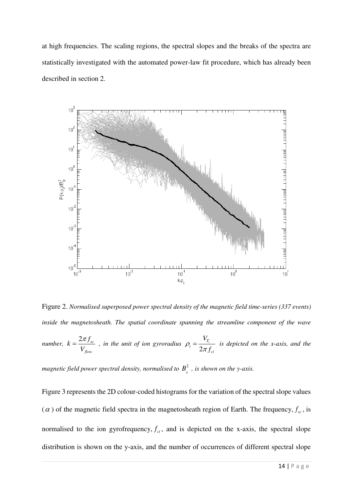at high frequencies. The scaling regions, the spectral slopes and the breaks of the spectra are statistically investigated with the automated power-law fit procedure, which has already been described in section 2.



Figure 2. *Normalised superposed power spectral density of the magnetic field time-series (337 events)*  inside the magnetosheath. The spatial coordinate spanning the streamline component of the wave *number,*  $k = \frac{2\pi f_{sc}}{l}$ *flow*  $k = \frac{2\pi f}{\sigma}$ *V*  $=\frac{2\pi J_{sc}}{2\pi}$ , in the unit of ion gyroradius 2 *Ti i ci V*  $\rho_i = \frac{r_i}{2\pi f_{ci}}$  is depicted on the x-axis, and the magnetic field power spectral density, normalised to  $B_{\scriptscriptstyle 0}^2$  , is shown on the y-axis.

Figure 3 represents the 2D colour-coded histograms for the variation of the spectral slope values  $(\alpha)$  of the magnetic field spectra in the magnetosheath region of Earth. The frequency,  $f_{sc}$ , is normalised to the ion gyrofrequency,  $f_{ci}$ , and is depicted on the x-axis, the spectral slope distribution is shown on the y-axis, and the number of occurrences of different spectral slope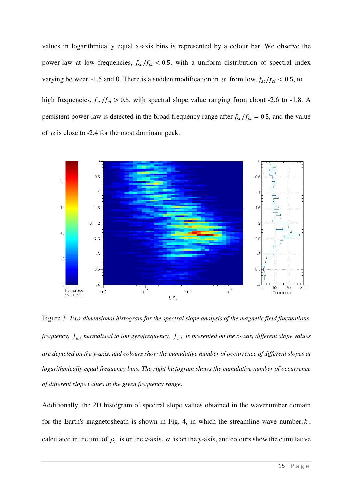values in logarithmically equal x-axis bins is represented by a colour bar. We observe the power-law at low frequencies,  $f_{sc}/f_{ci}$  < 0.5, with a uniform distribution of spectral index varying between -1.5 and 0. There is a sudden modification in  $\alpha$  from low,  $f_{sc}/f_{ci}$  < 0.5, to

high frequencies,  $f_{sc}/f_{ci} > 0.5$ , with spectral slope value ranging from about -2.6 to -1.8. A persistent power-law is detected in the broad frequency range after  $f_{sc}/f_{ci} = 0.5$ , and the value of  $\alpha$  is close to -2.4 for the most dominant peak.



Figure 3. *Two-dimensional histogram for the spectral slope analysis of the magnetic field fluctuations, frequency,*  $f_{sc}$ , normalised to ion gyrofrequency,  $f_{ci}$ , is presented on the x-axis, different slope values *are depicted on the y-axis, and colours show the cumulative number of occurrence of different slopes at logarithmically equal frequency bins. The right histogram shows the cumulative number of occurrence of different slope values in the given frequency range.*

Additionally, the 2D histogram of spectral slope values obtained in the wavenumber domain for the Earth's magnetosheath is shown in Fig. 4, in which the streamline wave number,  $k$ , calculated in the unit of  $\rho_i$  is on the *x*-axis,  $\alpha$  is on the *y*-axis, and colours show the cumulative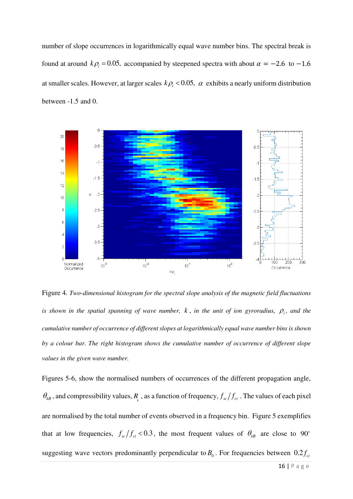number of slope occurrences in logarithmically equal wave number bins. The spectral break is found at around  $k\rho_i = 0.05$ , accompanied by steepened spectra with about  $\alpha = -2.6$  to  $-1.6$ at smaller scales. However, at larger scales  $k\rho_i < 0.05$ ,  $\alpha$  exhibits a nearly uniform distribution between -1.5 and 0.



Figure 4. *Two-dimensional histogram for the spectral slope analysis of the magnetic field fluctuations is shown in the spatial spanning of wave number,*  $k$ *, in the unit of ion gyroradius,*  $\rho_i$ *, and the cumulative number of occurrence of different slopes at logarithmically equal wave number bins is shown by a colour bar. The right histogram shows the cumulative number of occurrence of different slope values in the given wave number.*

Figures 5-6, show the normalised numbers of occurrences of the different propagation angle,  $\theta_{kB}$ , and compressibility values,  $R_{\parallel}$ , as a function of frequency,  $f_{sc}/f_{ci}$ . The values of each pixel are normalised by the total number of events observed in a frequency bin. Figure 5 exemplifies that at low frequencies,  $f_{sc}/f_{ci}$  < 0.3, the most frequent values of  $\theta_{kB}$  are close to 90° suggesting wave vectors predominantly perpendicular to  $B_0$ . For frequencies between  $0.2 f_c$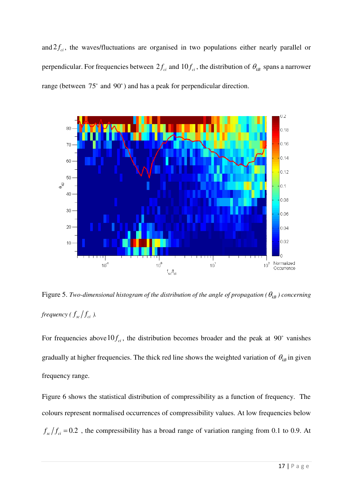and  $2f_{ci}$ , the waves/fluctuations are organised in two populations either nearly parallel or perpendicular. For frequencies between  $2f_{ci}$  and  $10f_{ci}$ , the distribution of  $\theta_{kB}$  spans a narrower range (between 75° and 90°) and has a peak for perpendicular direction.



Figure 5. *Two-dimensional histogram of the distribution of the angle of propagation (* $\theta_{kB}$ *) concerning frequency (* $f_{\rm sc}/f_{\rm ci}$ *).* 

For frequencies above  $10 f_{ci}$ , the distribution becomes broader and the peak at 90° vanishes gradually at higher frequencies. The thick red line shows the weighted variation of  $\theta_{kB}$  in given frequency range.

Figure 6 shows the statistical distribution of compressibility as a function of frequency. The colours represent normalised occurrences of compressibility values. At low frequencies below  $f_{sc}/f_{ci} = 0.2$ , the compressibility has a broad range of variation ranging from 0.1 to 0.9. At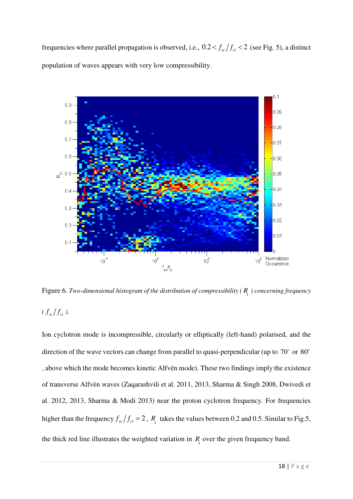frequencies where parallel propagation is observed, i.e.,  $0.2 < f_{sc}/f_{ci} < 2$  (see Fig. 5), a distinct population of waves appears with very low compressibility.



Figure 6. *Two-dimensional histogram of the distribution of compressibility ( R*‖ *) concerning frequency (*  $f_{sc}/f_{ci}$  ).

Ion cyclotron mode is incompressible, circularly or elliptically (left-hand) polarised, and the direction of the wave vectors can change from parallel to quasi-perpendicular (up to  $70^{\circ}$  or  $80^{\circ}$ ) , above which the mode becomes kinetic Alfvén mode). These two findings imply the existence of transverse Alfvèn waves (Zaqarashvili et al. 2011, 2013, Sharma & Singh 2008, Dwivedi et al. 2012, 2013, Sharma & Modi 2013) near the proton cyclotron frequency. For frequencies higher than the frequency  $f_{sc}/f_{ci} = 2$ ,  $R_{\parallel}$  takes the values between 0.2 and 0.5. Similar to Fig.5, the thick red line illustrates the weighted variation in  $R_{\parallel}$  over the given frequency band.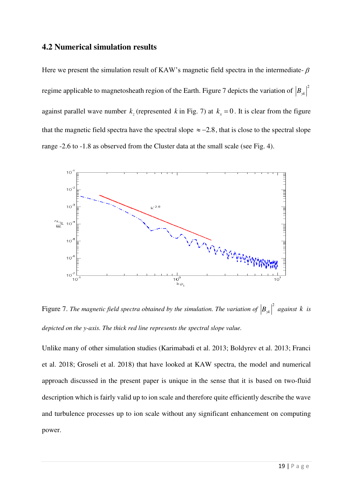# **4.2 Numerical simulation results**

Here we present the simulation result of KAW's magnetic field spectra in the intermediate- $\beta$ regime applicable to magnetosheath region of the Earth. Figure 7 depicts the variation of  $\left|B_{\nu k}\right|^2$ against parallel wave number  $k_z$  (represented k in Fig. 7) at  $k_x = 0$ . It is clear from the figure that the magnetic field spectra have the spectral slope  $\approx -2.8$ , that is close to the spectral slope range -2.6 to -1.8 as observed from the Cluster data at the small scale (see Fig. 4).



Figure 7. The magnetic field spectra obtained by the simulation. The variation of  $|B_{yk}|^2$  against k is *depicted on the y-axis. The thick red line represents the spectral slope value.*

Unlike many of other simulation studies (Karimabadi et al. 2013; Boldyrev et al. 2013; Franci et al. 2018; Groseli et al. 2018) that have looked at KAW spectra, the model and numerical approach discussed in the present paper is unique in the sense that it is based on two-fluid description which is fairly valid up to ion scale and therefore quite efficiently describe the wave and turbulence processes up to ion scale without any significant enhancement on computing power.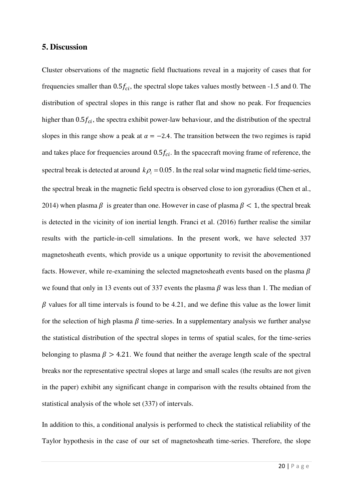## **5. Discussion**

Cluster observations of the magnetic field fluctuations reveal in a majority of cases that for frequencies smaller than  $0.5f_{ci}$ , the spectral slope takes values mostly between -1.5 and 0. The distribution of spectral slopes in this range is rather flat and show no peak. For frequencies higher than  $0.5f_{ci}$ , the spectra exhibit power-law behaviour, and the distribution of the spectral slopes in this range show a peak at  $\alpha = -2.4$ . The transition between the two regimes is rapid and takes place for frequencies around  $0.5f_{ci}$ . In the spacecraft moving frame of reference, the spectral break is detected at around  $k\rho_i = 0.05$ . In the real solar wind magnetic field time-series, the spectral break in the magnetic field spectra is observed close to ion gyroradius (Chen et al., 2014) when plasma  $\beta$  is greater than one. However in case of plasma  $\beta$  < 1, the spectral break is detected in the vicinity of ion inertial length. Franci et al. (2016) further realise the similar results with the particle-in-cell simulations. In the present work, we have selected 337 magnetosheath events, which provide us a unique opportunity to revisit the abovementioned facts. However, while re-examining the selected magnetosheath events based on the plasma  $\beta$ we found that only in 13 events out of 337 events the plasma  $\beta$  was less than 1. The median of  $\beta$  values for all time intervals is found to be 4.21, and we define this value as the lower limit for the selection of high plasma  $\beta$  time-series. In a supplementary analysis we further analyse the statistical distribution of the spectral slopes in terms of spatial scales, for the time-series belonging to plasma  $\beta > 4.21$ . We found that neither the average length scale of the spectral breaks nor the representative spectral slopes at large and small scales (the results are not given in the paper) exhibit any significant change in comparison with the results obtained from the statistical analysis of the whole set (337) of intervals.

In addition to this, a conditional analysis is performed to check the statistical reliability of the Taylor hypothesis in the case of our set of magnetosheath time-series. Therefore, the slope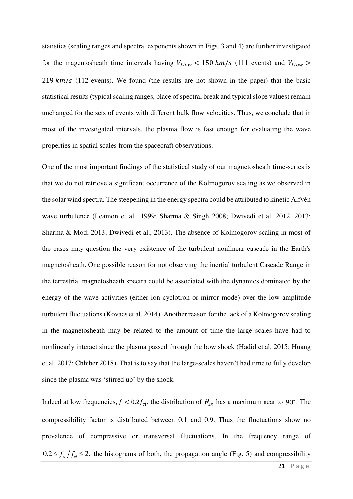statistics (scaling ranges and spectral exponents shown in Figs. 3 and 4) are further investigated for the magentosheath time intervals having  $V_{flow}$  < 150 km/s (111 events) and  $V_{flow}$  >  $219 \, \text{km/s}$  (112 events). We found (the results are not shown in the paper) that the basic statistical results (typical scaling ranges, place of spectral break and typical slope values) remain unchanged for the sets of events with different bulk flow velocities. Thus, we conclude that in most of the investigated intervals, the plasma flow is fast enough for evaluating the wave properties in spatial scales from the spacecraft observations.

One of the most important findings of the statistical study of our magnetosheath time-series is that we do not retrieve a significant occurrence of the Kolmogorov scaling as we observed in the solar wind spectra. The steepening in the energy spectra could be attributed to kinetic Alfvèn wave turbulence (Leamon et al., 1999; Sharma & Singh 2008; Dwivedi et al. 2012, 2013; Sharma & Modi 2013; Dwivedi et al., 2013). The absence of Kolmogorov scaling in most of the cases may question the very existence of the turbulent nonlinear cascade in the Earth's magnetosheath. One possible reason for not observing the inertial turbulent Cascade Range in the terrestrial magnetosheath spectra could be associated with the dynamics dominated by the energy of the wave activities (either ion cyclotron or mirror mode) over the low amplitude turbulent fluctuations (Kovacs et al. 2014). Another reason for the lack of a Kolmogorov scaling in the magnetosheath may be related to the amount of time the large scales have had to nonlinearly interact since the plasma passed through the bow shock (Hadid et al. 2015; Huang et al. 2017; Chhiber 2018). That is to say that the large-scales haven't had time to fully develop since the plasma was 'stirred up' by the shock.

Indeed at low frequencies,  $f < 0.2 f_{ci}$ , the distribution of  $\theta_{kB}$  has a maximum near to 90°. The compressibility factor is distributed between 0.1 and 0.9. Thus the fluctuations show no prevalence of compressive or transversal fluctuations. In the frequency range of  $0.2 \le f_{sc}/f_{ci} \le 2$ , the histograms of both, the propagation angle (Fig. 5) and compressibility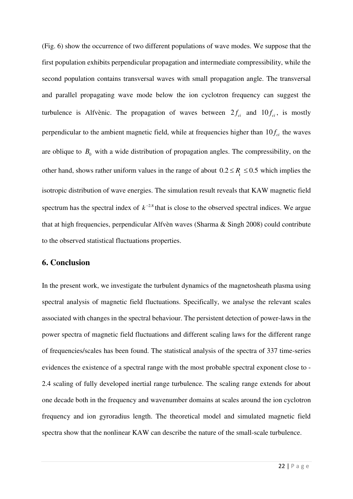(Fig. 6) show the occurrence of two different populations of wave modes. We suppose that the first population exhibits perpendicular propagation and intermediate compressibility, while the second population contains transversal waves with small propagation angle. The transversal and parallel propagating wave mode below the ion cyclotron frequency can suggest the turbulence is Alfvènic. The propagation of waves between  $2f_{ci}$  and  $10f_{ci}$ , is mostly perpendicular to the ambient magnetic field, while at frequencies higher than  $10 f_{ci}$  the waves are oblique to  $B_0$  with a wide distribution of propagation angles. The compressibility, on the other hand, shows rather uniform values in the range of about  $0.2 \le R_{\text{p}} \le 0.5$  which implies the isotropic distribution of wave energies. The simulation result reveals that KAW magnetic field spectrum has the spectral index of  $k^{-2.8}$  that is close to the observed spectral indices. We argue that at high frequencies, perpendicular Alfvèn waves (Sharma & Singh 2008) could contribute to the observed statistical fluctuations properties.

## **6. Conclusion**

In the present work, we investigate the turbulent dynamics of the magnetosheath plasma using spectral analysis of magnetic field fluctuations. Specifically, we analyse the relevant scales associated with changes in the spectral behaviour. The persistent detection of power-laws in the power spectra of magnetic field fluctuations and different scaling laws for the different range of frequencies/scales has been found. The statistical analysis of the spectra of 337 time-series evidences the existence of a spectral range with the most probable spectral exponent close to - 2.4 scaling of fully developed inertial range turbulence. The scaling range extends for about one decade both in the frequency and wavenumber domains at scales around the ion cyclotron frequency and ion gyroradius length. The theoretical model and simulated magnetic field spectra show that the nonlinear KAW can describe the nature of the small-scale turbulence.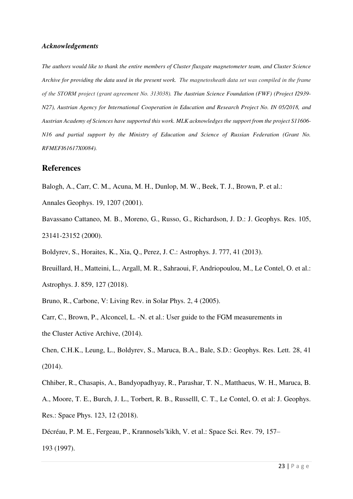#### *Acknowledgements*

*The authors would like to thank the entire members of Cluster fluxgate magnetometer team, and Cluster Science Archive for providing the data used in the present work. The magnetosheath data set was compiled in the frame of the STORM project (grant agreement No. 313038). The Austrian Science Foundation (FWF) (Project I2939- N27), Austrian Agency for International Cooperation in Education and Research Project No. IN 05/2018, and Austrian Academy of Sciences have supported this work. MLK acknowledges the support from the project S11606- N16 and partial support by the Ministry of Education and Science of Russian Federation (Grant No. RFMEFI61617X0084).* 

#### **References**

- Balogh, A., Carr, C. M., Acuna, M. H., Dunlop, M. W., Beek, T. J., Brown, P. et al.:
- Annales Geophys. 19, 1207 (2001).
- Bavassano Cattaneo, M. B., Moreno, G., Russo, G., Richardson, J. D.: J. Geophys. Res. 105, 23141-23152 (2000).
- Boldyrev, S., Horaites, K., Xia, Q., Perez, J. C.: Astrophys. J. 777, 41 (2013).
- Breuillard, H., Matteini, L., Argall, M. R., Sahraoui, F, Andriopoulou, M., Le Contel, O. et al.:

Astrophys. J. 859, 127 (2018).

- Bruno, R., Carbone, V: Living Rev. in Solar Phys. 2, 4 (2005).
- Carr, C., Brown, P., Alconcel, L. -N. et al.: User guide to the FGM measurements in the Cluster Active Archive, (2014).
- Chen, C.H.K., Leung, L., Boldyrev, S., Maruca, B.A., Bale, S.D.: Geophys. Res. Lett. 28, 41 (2014).
- Chhiber, R., Chasapis, A., Bandyopadhyay, R., Parashar, T. N., Matthaeus, W. H., Maruca, B. A., Moore, T. E., Burch, J. L., Torbert, R. B., Russelll, C. T., Le Contel, O. et al: J. Geophys. Res.: Space Phys. 123, 12 (2018).
- Décréau, P. M. E., Fergeau, P., Krannosels'kikh, V. et al.: Space Sci. Rev. 79, 157– 193 (1997).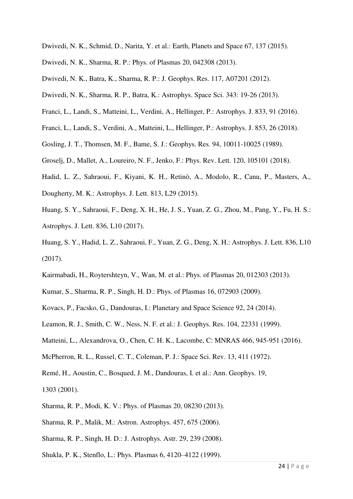- Dwivedi, N. K., Schmid, D., Narita, Y. et al.: Earth, Planets and Space 67, 137 (2015).
- Dwivedi, N. K., Sharma, R. P.: Phys. of Plasmas 20, 042308 (2013).
- Dwivedi, N. K., Batra, K., Sharma, R. P.: J. Geophys. Res. 117, A07201 (2012).
- Dwivedi, N. K., Sharma, R. P., Batra, K.: Astrophys. Space Sci. 343: 19-26 (2013).
- Franci, L., Landi, S., Matteini, L., Verdini, A., Hellinger, P.: Astrophys. J. 833, 91 (2016).
- Franci, L., Landi, S., Verdini, A., Matteini, L., Hellinger, P.: Astrophys. J. 853, 26 (2018).
- Gosling, J. T., Thomsen, M. F., Bame, S. J.: Geophys. Res. 94, 10011-10025 (1989).
- Groselj, D., Mallet, A., Loureiro, N. F., Jenko, F.: Phys. Rev. Lett. 120, 105101 (2018).
- Hadid, L. Z., Sahraoui, F., Kiyani, K. H., Retinò, A., Modolo, R., Canu, P., Masters, A.,
- Dougherty, M. K.: Astrophys. J. Lett. 813, L29 (2015).
- Huang, S. Y., Sahraoui, F., Deng, X. H., He, J. S., Yuan, Z. G., Zhou, M., Pang, Y., Fu, H. S.: Astrophys. J. Lett. 836, L10 (2017).
- Huang, S. Y., Hadid, L. Z., Sahraoui, F., Yuan, Z. G., Deng, X. H.: Astrophys. J. Lett. 836, L10 (2017).
- Kairmabadi, H., Roytershteyn, V., Wan, M. et al.: Phys. of Plasmas 20, 012303 (2013).
- Kumar, S., Sharma, R. P., Singh, H. D.: Phys. of Plasmas 16, 072903 (2009).
- Kovacs, P., Facsko, G., Dandouras, I.: Planetary and Space Science 92, 24 (2014).
- Leamon, R. J., Smith, C. W., Ness, N. F. et al.: J. Geophys. Res. 104, 22331 (1999).
- Matteini, L., Alexandrova, O., Chen, C. H. K., Lacombe, C: MNRAS 466, 945-951 (2016).
- McPherron, R. L., Russel, C. T., Coleman, P. J.: Space Sci. Rev. 13, 411 (1972).
- Remé, H., Aoustin, C., Bosqued, J. M., Dandouras, I. et al.: Ann. Geophys. 19,
- 1303 (2001).
- Sharma, R. P., Modi, K. V.: Phys. of Plasmas 20, 08230 (2013).
- Sharma, R. P., Malik, M.: Astron. Astrophys. 457, 675 (2006).
- Sharma, R. P., Singh, H. D.: J. Astrophys. Astr. 29, 239 (2008).
- Shukla, P. K., Stenflo, L.: Phys. Plasmas 6, 4120–4122 (1999).